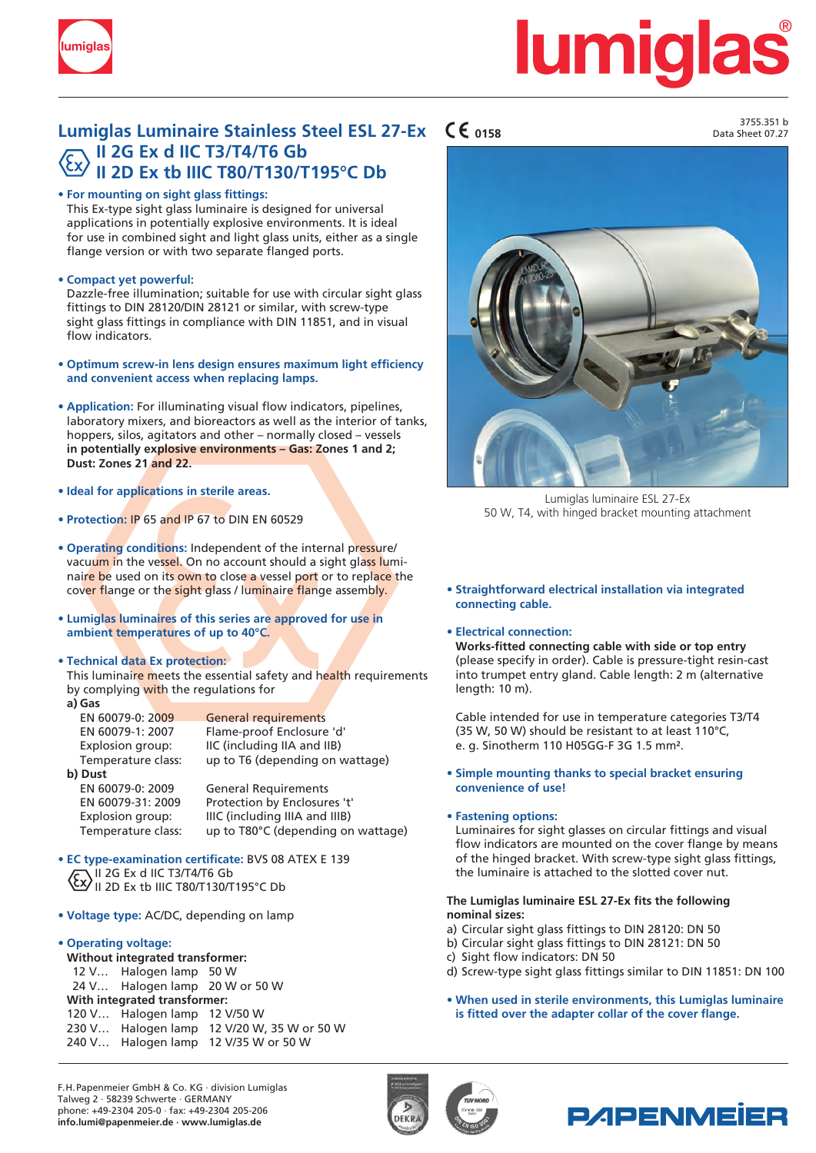

# <u>lumiglas</u>

## **Lumiglas Luminaire Stainless Steel ESL 27-Ex**  $\mathsf{C}\mathsf{C}$  **0158 II 2G Ex d IIC T3/T4/T6 Gb II 2D Ex tb IIIC T80/T130/T195°C Db**

## **• For mounting on sight glass fittings:**

This Ex-type sight glass luminaire is designed for universal applications in potentially explosive environments. It is ideal for use in combined sight and light glass units, either as a single flange version or with two separate flanged ports.

### **• Compact yet powerful:**

Dazzle-free illumination; suitable for use with circular sight glass fittings to DIN 28120/DIN 28121 or similar, with screw-type sight glass fittings in compliance with DIN 11851, and in visual flow indicators.

- **• Optimum screw-in lens design ensures maximum light efficiency and convenient access when replacing lamps.**
- **• Application:** For illuminating visual flow indicators, pipelines, laboratory mixers, and bioreactors as well as the interior of tanks, hoppers, silos, agitators and other – normally closed – vessels **in potentially explosive environments – Gas: Zones 1 and 2; Dust: Zones 21 and 22.**
- **• Ideal for applications in sterile areas.**
- **• Protection:** IP 65 and IP 67 to DIN EN 60529
- **• Operating conditions:** Independent of the internal pressure/ vacuum in the vessel. On no account should a sight glass luminaire be used on its own to close a vessel port or to replace the cover flange or the sight glass / luminaire flange assembly.
- **• Lumiglas luminaires of this series are approved for use in ambient temperatures of up to 40°C.**

### **• Technical data Ex protection:**

This luminaire meets the essential safety and health requirements by complying with the regulations for **a) Gas**

| a, Jas             |                                    |
|--------------------|------------------------------------|
| EN 60079-0: 2009   | <b>General requirements</b>        |
| EN 60079-1: 2007   | Flame-proof Enclosure 'd'          |
| Explosion group:   | IIC (including IIA and IIB)        |
| Temperature class: | up to T6 (depending on wattage)    |
| b) Dust            |                                    |
| EN 60079-0: 2009   | <b>General Requirements</b>        |
| EN 60079-31: 2009  | Protection by Enclosures 't'       |
| Explosion group:   | IIIC (including IIIA and IIIB)     |
| Temperature class: | up to T80°C (depending on wattage) |
|                    |                                    |

- **• EC type-examination certificate:** BVS 08 ATEX E 139 II 2G Ex d IIC T3/T4/T6 Gb  $^{\prime}$  II 2D Ex tb IIIC T80/T130/T195°C Db
- **• Voltage type:** AC/DC, depending on lamp

### **• Operating voltage: Without integrated transformer:**

 12 V… Halogen lamp 50 W 24 V… Halogen lamp 20 W or 50 W **With integrated transformer:** 120 V… Halogen lamp 12 V/50 W 230 V… Halogen lamp 12 V/20 W, 35 W or 50 W 240 V… Halogen lamp 12 V/35 W or 50 W

3755.351 b Data Sheet 07.27



Lumiglas luminaire ESL 27-Ex 50 W, T4, with hinged bracket mounting attachment

**• Straightforward electrical installation via integrated connecting cable.**

## **• Electrical connection:**

 **Works-fitted connecting cable with side or top entry** (please specify in order). Cable is pressure-tight resin-cast into trumpet entry gland. Cable length: 2 m (alternative length: 10 m).

Cable intended for use in temperature categories T3/T4 (35 W, 50 W) should be resistant to at least 110°C, e. g. Sinotherm 110 H05GG-F 3G 1.5 mm².

**• Simple mounting thanks to special bracket ensuring convenience of use!**

### **• Fastening options:**

Luminaires for sight glasses on circular fittings and visual flow indicators are mounted on the cover flange by means of the hinged bracket. With screw-type sight glass fittings, the luminaire is attached to the slotted cover nut.

### **The Lumiglas luminaire ESL 27-Ex fits the following nominal sizes:**

- a) Circular sight glass fittings to DIN 28120: DN 50
- b) Circular sight glass fittings to DIN 28121: DN 50
- c) Sight flow indicators: DN 50
- d) Screw-type sight glass fittings similar to DIN 11851: DN 100
- **• When used in sterile environments, this Lumiglas luminaire is fitted over the adapter collar of the cover flange.**